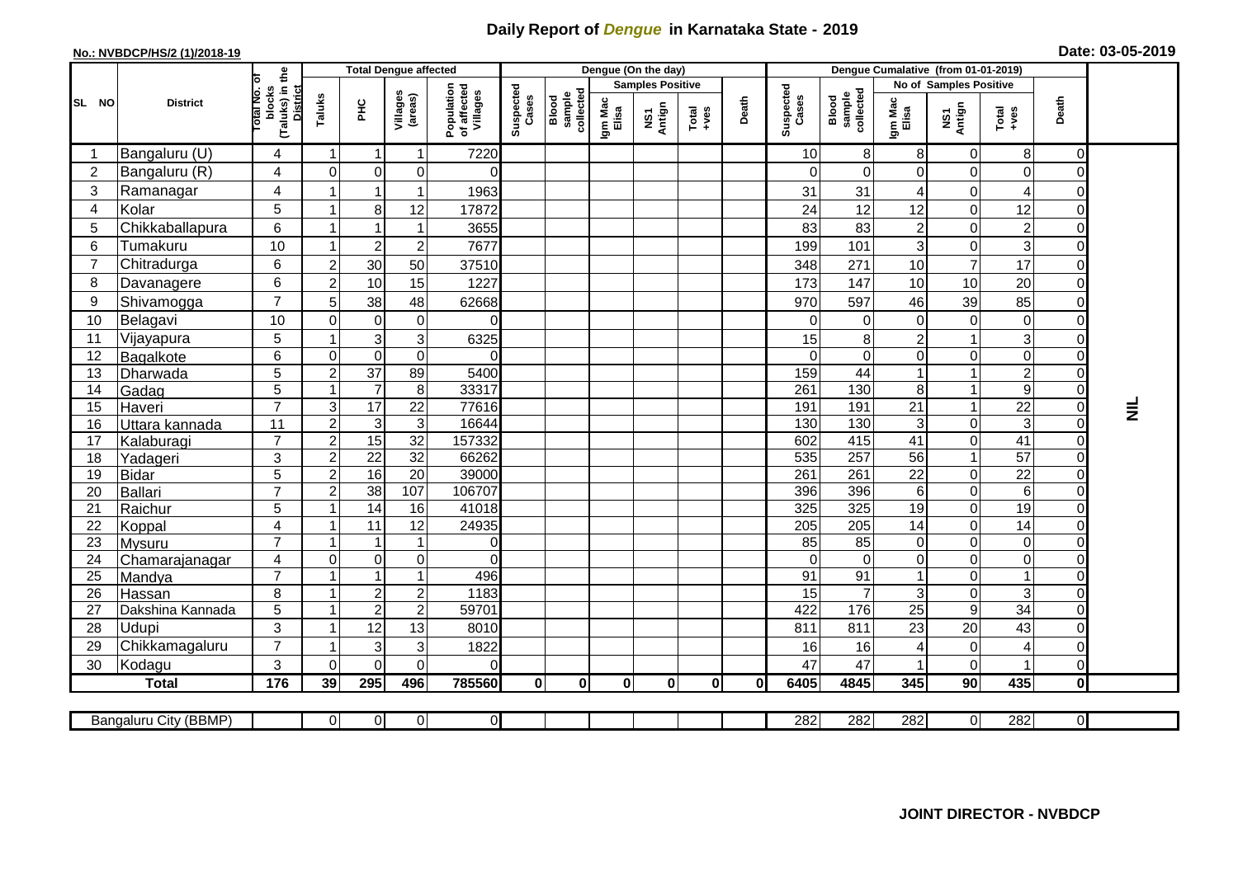## **Daily Report of** *Dengue* **in Karnataka State - 2019**

## **No.: NVBDCP/HS/2 (1)/2018-19 Date: 03-05-2019**

|                        |                           |                                                   |                           | <b>Total Dengue affected</b>     |                               |                                       |                    |                              |                  | Dengue (On the day)     |             |       |                    |                                   |                           |                            |                 |                |                 |
|------------------------|---------------------------|---------------------------------------------------|---------------------------|----------------------------------|-------------------------------|---------------------------------------|--------------------|------------------------------|------------------|-------------------------|-------------|-------|--------------------|-----------------------------------|---------------------------|----------------------------|-----------------|----------------|-----------------|
|                        |                           | ъ                                                 |                           |                                  |                               |                                       |                    |                              |                  | <b>Samples Positive</b> |             |       |                    |                                   |                           | No of Samples Positive     |                 |                |                 |
| <b>SL</b><br><b>NO</b> | <b>District</b>           | (Taluks) in the<br>District<br>otal No.<br>blocks | Taluks                    | Ξ                                | Villages<br>(areas)           | Population<br>of affected<br>Villages | Suspected<br>Cases | sample<br>collected<br>Blood | Igm Mac<br>Elisa | NS1<br>Antign           | $Total$     | Death | Suspected<br>Cases | sample<br>collected<br>Blood      | Igm Mac<br>Elisa          | NS1<br>Antign              | Total<br>+ves   | Death          |                 |
| -1                     | Bangaluru (U)             | 4                                                 | -1                        | $\overline{\mathbf{1}}$          | 1                             | 7220                                  |                    |                              |                  |                         |             |       | 10                 | 8                                 | 8                         | 0                          | 8 <sup>1</sup>  | $\overline{0}$ |                 |
| $\overline{2}$         | Bangaluru (R)             | 4                                                 | $\Omega$                  | $\mathbf 0$                      | 0                             | $\Omega$                              |                    |                              |                  |                         |             |       | 0                  | $\Omega$                          | $\mathbf 0$               | $\Omega$                   | $\mathbf 0$     | 0              |                 |
| 3                      | Ramanagar                 | 4                                                 |                           | $\overline{\mathbf{1}}$          | 1                             | 1963                                  |                    |                              |                  |                         |             |       | 31                 | 31                                | $\overline{4}$            | 0                          | 4               | 0              |                 |
| 4                      | Kolar                     | 5                                                 |                           | 8                                | 12                            | 17872                                 |                    |                              |                  |                         |             |       | 24                 | 12                                | 12                        | $\overline{0}$             | 12              | $\overline{0}$ |                 |
| 5                      | Chikkaballapura           | 6                                                 |                           |                                  |                               | 3655                                  |                    |                              |                  |                         |             |       | 83                 | 83                                | $\overline{c}$            | $\Omega$                   | $\overline{c}$  | 0              |                 |
| 6                      | Tumakuru                  | 10                                                | $\overline{1}$            | $\overline{2}$                   | $\overline{c}$                | 7677                                  |                    |                              |                  |                         |             |       | 199                | 101                               | $\mathbf{3}$              | $\mathbf 0$                | 3 <sup>1</sup>  | 0              |                 |
| $\overline{7}$         | Chitradurga               | 6                                                 | $\overline{c}$            | 30                               | 50                            | 37510                                 |                    |                              |                  |                         |             |       | 348                | 271                               | 10                        | $\overline{7}$             | 17              | 0              |                 |
| 8                      | Davanagere                | 6                                                 | $\overline{c}$            | 10                               | 15                            | 1227                                  |                    |                              |                  |                         |             |       | 173                | 147                               | $10$                      | 10                         | 20              | 0              |                 |
| 9                      | Shivamogga                | $\overline{7}$                                    | 5                         | 38                               | 48                            | 62668                                 |                    |                              |                  |                         |             |       | 970                | 597                               | 46                        | 39                         | 85              | 0              |                 |
| 10                     | Belagavi                  | 10                                                | $\Omega$                  | $\mathbf 0$                      | $\pmb{0}$                     | 0                                     |                    |                              |                  |                         |             |       | 0                  | $\Omega$                          | $\mathbf 0$               | $\Omega$                   | $\overline{0}$  | 0              |                 |
| 11                     | Vijayapura                | 5                                                 |                           | 3                                | 3                             | 6325                                  |                    |                              |                  |                         |             |       | 15                 | 8                                 | $\boldsymbol{2}$          |                            | 3               | 0              |                 |
| 12                     | Bagalkote                 | 6                                                 | $\mathbf 0$               | $\mathbf 0$                      | $\boldsymbol{0}$              | $\Omega$                              |                    |                              |                  |                         |             |       | $\Omega$           | $\mathbf 0$                       | $\boldsymbol{0}$          | $\Omega$                   | $\overline{0}$  | 0              |                 |
| 13                     | Dharwada                  | $\overline{5}$                                    | $\overline{c}$            | $\overline{37}$                  | 89                            | 5400                                  |                    |                              |                  |                         |             |       | 159                | 44                                | $\overline{1}$            |                            | $\overline{2}$  | 0              |                 |
| 14                     | Gadag                     | 5                                                 | $\overline{1}$            | $\overline{7}$                   | $\bf 8$                       | 33317                                 |                    |                              |                  |                         |             |       | 261                | 130                               | 8                         |                            | $\overline{9}$  | $\overline{0}$ |                 |
| 15                     | Haveri                    | $\overline{7}$                                    | $\ensuremath{\mathsf{3}}$ | $\overline{17}$                  | $\overline{22}$               | 77616                                 |                    |                              |                  |                         |             |       | 191                | 191                               | 21                        | 1                          | $\overline{22}$ | $\overline{0}$ | $\bar{\bar{z}}$ |
| 16                     | Uttara kannada            | 11                                                | $\sqrt{2}$                | 3                                | $\ensuremath{\mathsf{3}}$     | 16644                                 |                    |                              |                  |                         |             |       | 130                | 130                               | $\ensuremath{\mathsf{3}}$ | 0                          | 3 <sup>1</sup>  | $\overline{0}$ |                 |
| 17                     | Kalaburagi                | $\overline{7}$                                    | $\overline{2}$            | 15                               | $\overline{32}$               | 157332                                |                    |                              |                  |                         |             |       | 602                | 415                               | 41                        | $\Omega$                   | 41              | 0              |                 |
| 18                     | Yadageri                  | 3                                                 | $\overline{c}$            | $\overline{22}$                  | 32                            | 66262                                 |                    |                              |                  |                         |             |       | 535                | 257                               | 56                        | 1                          | 57              | $\overline{0}$ |                 |
| 19                     | <b>Bidar</b>              | 5                                                 | $\overline{2}$            | 16                               | $\overline{20}$               | 39000                                 |                    |                              |                  |                         |             |       | 261                | 261                               | $\overline{22}$           | $\mathbf 0$                | $\overline{22}$ | 0              |                 |
| 20                     | Ballari                   | $\overline{7}$                                    | $\overline{c}$            | $\overline{38}$                  | 107                           | 106707                                |                    |                              |                  |                         |             |       | 396                | 396                               | $\,6$                     | $\mathbf 0$                | $6 \mid$        | 0              |                 |
| 21                     | Raichur                   | 5                                                 |                           | 14                               | 16                            | 41018                                 |                    |                              |                  |                         |             |       | 325                | 325                               | 19                        | $\Omega$                   | 19              | 0              |                 |
| 22                     | Koppal                    | $\overline{4}$                                    | -1                        | 11                               | 12                            | 24935                                 |                    |                              |                  |                         |             |       | 205                | 205                               | 14                        | $\mathbf 0$                | 14              | $\overline{0}$ |                 |
| 23                     | Mysuru                    | $\overline{7}$                                    |                           | $\overline{\mathbf{1}}$          | 1                             | $\overline{0}$                        |                    |                              |                  |                         |             |       | 85                 | 85                                | $\mathbf 0$               | $\Omega$                   | $\overline{0}$  | $\overline{0}$ |                 |
| 24                     | Chamarajanagar            | 4<br>$\overline{7}$                               | $\mathbf 0$               | $\pmb{0}$<br>$\overline{1}$      | $\pmb{0}$<br>1                | $\Omega$                              |                    |                              |                  |                         |             |       | $\Omega$           | $\mathbf 0$                       | $\pmb{0}$                 | $\mathbf 0$                | $\overline{0}$  | 0              |                 |
| 25                     | Mandya                    |                                                   |                           |                                  |                               | 496                                   |                    |                              |                  |                         |             |       | 91                 | $\overline{91}$<br>$\overline{7}$ |                           | $\mathbf 0$<br>$\mathbf 0$ | $\overline{3}$  | 0<br>0         |                 |
| 26                     | Hassan                    | 8<br>5                                            | -1                        | $\overline{2}$<br>$\overline{2}$ | $\mathbf 2$<br>$\overline{c}$ | 1183<br>59701                         |                    |                              |                  |                         |             |       | 15<br>422          | 176                               | 3<br>25                   | 9                          | $\overline{34}$ | 0              |                 |
| 27<br>28               | Dakshina Kannada<br>Udupi | 3                                                 | -1                        | 12                               | 13                            | 8010                                  |                    |                              |                  |                         |             |       | 811                | 811                               | 23                        | 20                         | 43              | 0              |                 |
| 29                     | Chikkamagaluru            | $\overline{7}$                                    |                           | 3                                | 3                             | 1822                                  |                    |                              |                  |                         |             |       | 16                 | 16                                | 4                         | 0                          | 4               | 0              |                 |
| 30                     | Kodagu                    | 3                                                 | $\Omega$                  | $\Omega$                         | $\Omega$                      | $\Omega$                              |                    |                              |                  |                         |             |       | 47                 | 47                                |                           | $\Omega$                   |                 | $\overline{0}$ |                 |
|                        | <b>Total</b>              | 176                                               | 39                        | 295                              | 496                           | 785560                                | $\bf{0}$           | $\mathbf 0$                  | 0                | $\mathbf 0$             | $\mathbf 0$ | 0     | 6405               | 4845                              | 345                       | 90                         | 435             | $\mathbf{0}$   |                 |
|                        |                           |                                                   |                           |                                  |                               |                                       |                    |                              |                  |                         |             |       |                    |                                   |                           |                            |                 |                |                 |
|                        | Bangaluru City (BBMP)     |                                                   | $\overline{0}$            | $\overline{0}$                   | $\Omega$                      | $\overline{O}$                        |                    |                              |                  |                         |             |       | 282                | 282                               | 282                       | 0                          | 282             | $\overline{0}$ |                 |